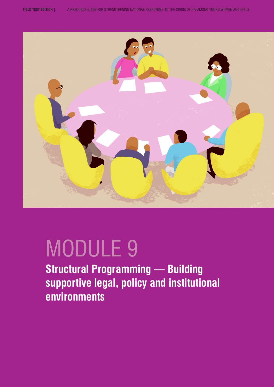

# MODULE 9

**Structural Programming — Building supportive legal, policy and institutional environments**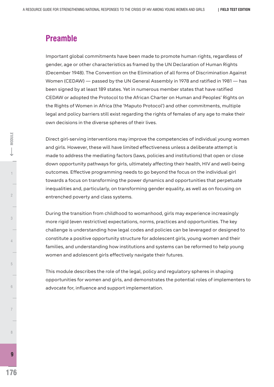# **Preamble**

Important global commitments have been made to promote human rights, regardless of gender, age or other characteristics as framed by the UN Declaration of Human Rights (December 1948). The Convention on the Elimination of all forms of Discrimination Against Women (CEDAW) — passed by the UN General Assembly in 1978 and ratified in 1981 — has been signed by at least 189 states. Yet in numerous member states that have ratified CEDAW or adopted the Protocol to the African Charter on Human and Peoples' Rights on the Rights of Women in Africa (the 'Maputo Protocol') and other commitments, multiple legal and policy barriers still exist regarding the rights of females of any age to make their own decisions in the diverse spheres of their lives.

Direct girl-serving interventions may improve the competencies of individual young women and girls. However, these will have limited effectiveness unless a deliberate attempt is made to address the mediating factors (laws, policies and institutions) that open or close down opportunity pathways for girls, ultimately affecting their health, HIV and well-being outcomes. Effective programming needs to go beyond the focus on the individual girl towards a focus on transforming the power dynamics and opportunities that perpetuate inequalities and, particularly, on transforming gender equality, as well as on focusing on entrenched poverty and class systems.

During the transition from childhood to womanhood, girls may experience increasingly more rigid (even restrictive) expectations, norms, practices and opportunities. The key challenge is understanding how legal codes and policies can be leveraged or designed to constitute a positive opportunity structure for adolescent girls, young women and their families, and understanding how institutions and systems can be reformed to help young women and adolescent girls effectively navigate their futures.

This module describes the role of the legal, policy and regulatory spheres in shaping opportunities for women and girls, and demonstrates the potential roles of implementers to advocate for, influence and support implementation.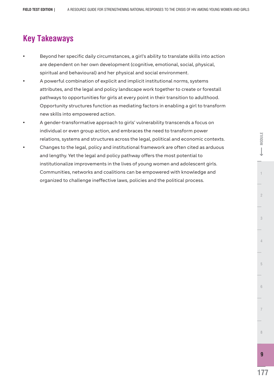# **Key Takeaways**

- Beyond her specific daily circumstances, a girl's ability to translate skills into action are dependent on her own development (cognitive, emotional, social, physical, spiritual and behavioural) and her physical and social environment.
- A powerful combination of explicit and implicit institutional norms, systems attributes, and the legal and policy landscape work together to create or forestall pathways to opportunities for girls at every point in their transition to adulthood. Opportunity structures function as mediating factors in enabling a girl to transform new skills into empowered action.
- A gender-transformative approach to girls' vulnerability transcends a focus on individual or even group action, and embraces the need to transform power relations, systems and structures across the legal, political and economic contexts.
- Changes to the legal, policy and institutional framework are often cited as arduous and lengthy. Yet the legal and policy pathway offers the most potential to institutionalize improvements in the lives of young women and adolescent girls. Communities, networks and coalitions can be empowered with knowledge and organized to challenge ineffective laws, policies and the political process.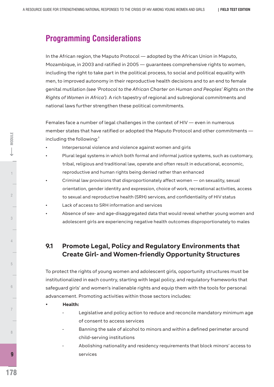# **Programming Considerations**

In the African region, the Maputo Protocol — adopted by the African Union in Maputo, Mozambique, in 2003 and ratified in 2005 — guarantees comprehensive rights to women, including the right to take part in the political process, to social and political equality with men, to improved autonomy in their reproductive health decisions and to an end to female genital mutilation *(see 'Protocol to the African Charter on Human and Peoples' Rights on the Rights of Women in Africa').* A rich tapestry of regional and subregional commitments and national laws further strengthen these political commitments.

Females face a number of legal challenges in the context of HIV — even in numerous member states that have ratified or adopted the Maputo Protocol and other commitments — **1** including the following:

- Interpersonal violence and violence against women and girls
- Plural legal systems in which both formal and informal justice systems, such as customary, tribal, religious and traditional law, operate and often result in educational, economic, reproductive and human rights being denied rather than enhanced
- Criminal law provisions that disproportionately affect women on sexuality, sexual orientation, gender identity and expression, choice of work, recreational activities, access to sexual and reproductive health (SRH) services, and confidentiality of HIV status
- Lack of access to SRH information and services
- Absence of sex- and age-disaggregated data that would reveal whether young women and adolescent girls are experiencing negative health outcomes disproportionately to males

# **9.1 Promote Legal, Policy and Regulatory Environments that Create Girl- and Women-friendly Opportunity Structures**

To protect the rights of young women and adolescent girls, opportunity structures must be institutionalized in each country, starting with legal policy, and regulatory frameworks that safeguard girls' and women's inalienable rights and equip them with the tools for personal advancement. Promoting activities within those sectors includes:

- **Health:** 
	- Legislative and policy action to reduce and reconcile mandatory minimum age of consent to access services
	- Banning the sale of alcohol to minors and within a defined perimeter around child-serving institutions
	- Abolishing nationality and residency requirements that block minors' access to services

**MODULE**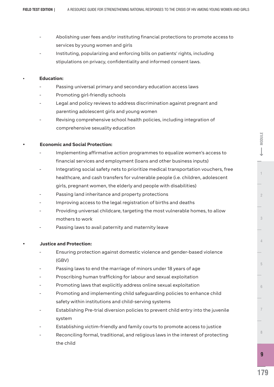- Abolishing user fees and/or instituting financial protections to promote access to services by young women and girls
- Instituting, popularizing and enforcing bills on patients' rights, including stipulations on privacy, confidentiality and informed consent laws.

#### **Education:**

- Passing universal primary and secondary education access laws
- Promoting girl-friendly schools
- Legal and policy reviews to address discrimination against pregnant and parenting adolescent girls and young women
- Revising comprehensive school health policies, including integration of comprehensive sexuality education

#### **Economic and Social Protection:**

- Implementing affirmative action programmes to equalize women's access to financial services and employment (loans and other business inputs)
- Integrating social safety nets to prioritize medical transportation vouchers, free healthcare, and cash transfers for vulnerable people (i.e. children, adolescent girls, pregnant women, the elderly and people with disabilities)
- Passing land inheritance and property protections
- Improving access to the legal registration of births and deaths
- Providing universal childcare, targeting the most vulnerable homes, to allow mothers to work
- Passing laws to avail paternity and maternity leave

#### **Justice and Protection:**

- Ensuring protection against domestic violence and gender-based violence (GBV)
- Passing laws to end the marriage of minors under 18 years of age
- Proscribing human trafficking for labour and sexual exploitation
- Promoting laws that explicitly address online sexual exploitation
- Promoting and implementing child safeguarding policies to enhance child safety within institutions and child-serving systems
- Establishing Pre-trial diversion policies to prevent child entry into the juvenile system
- Establishing victim-friendly and family courts to promote access to justice
- Reconciling formal, traditional, and religious laws in the interest of protecting the child

8

7

4

3

1 **2** MODE  $\begin{bmatrix} 1 & 2 \\ 2 & 1 \end{bmatrix}$  2

 $\overline{2}$ 

**E-MODULE** 

5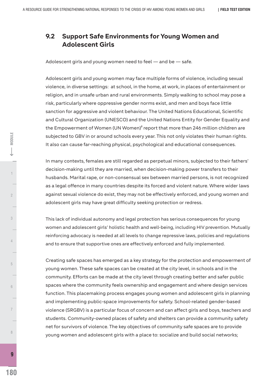# **9.2 Support Safe Environments for Young Women and Adolescent Girls**

Adolescent girls and young women need to feel — and be — safe.

Adolescent girls and young women may face multiple forms of violence, including sexual violence, in diverse settings: at school, in the home, at work, in places of entertainment or religion, and in unsafe urban and rural environments. Simply walking to school may pose a risk, particularly where oppressive gender norms exist, and men and boys face little sanction for aggressive and violent behaviour. The United Nations Educational, Scientific and Cultural Organization (UNESCO) and the United Nations Entity for Gender Equality and the Empowerment of Women (UN Women)<sup>2</sup> report that more than 246 million children are subjected to GBV in or around schools every year. This not only violates their human rights. It also can cause far-reaching physical, psychological and educational consequences.

In many contexts, females are still regarded as perpetual minors, subjected to their fathers' decision-making until they are married, when decision-making power transfers to their husbands. Marital rape, or non-consensual sex between married persons, is not recognized as a legal offence in many countries despite its forced and violent nature. Where wider laws against sexual violence do exist, they may not be effectively enforced, and young women and adolescent girls may have great difficulty seeking protection or redress.

This lack of individual autonomy and legal protection has serious consequences for young women and adolescent girls' holistic health and well-being, including HIV prevention. Mutually reinforcing advocacy is needed at all levels to change repressive laws, policies and regulations and to ensure that supportive ones are effectively enforced and fully implemented.

Creating safe spaces has emerged as a key strategy for the protection and empowerment of young women. These safe spaces can be created at the city level, in schools and in the community. Efforts can be made at the city level through creating better and safer public spaces where the community feels ownership and engagement and where design services function. This placemaking process engages young women and adolescent girls in planning and implementing public-space improvements for safety. School-related gender-based violence (SRGBV) is a particular focus of concern and can affect girls and boys, teachers and students. Community-owned places of safety and shelters can provide a community safety net for survivors of violence. The key objectives of community safe spaces are to provide young women and adolescent girls with a place to: socialize and build social networks;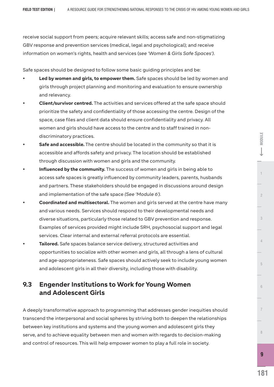receive social support from peers; acquire relevant skills; access safe and non-stigmatizing GBV response and prevention services (medical, legal and psychological); and receive information on women's rights, health and services (*see 'Women & Girls Safe Spaces')*.

Safe spaces should be designed to follow some basic guiding principles and be:

- Led by women and girls, to empower them. Safe spaces should be led by women and girls through project planning and monitoring and evaluation to ensure ownership and relevancy.
- **Client/survivor centred.** The activities and services offered at the safe space should prioritize the safety and confidentiality of those accessing the centre. Design of the space, case files and client data should ensure confidentiality and privacy. All women and girls should have access to the centre and to staff trained in nondiscriminatory practices.
- Safe and accessible. The centre should be located in the community so that it is accessible and affords safety and privacy. The location should be established through discussion with women and girls and the community.
- **Influenced by the community.** The success of women and girls in being able to access safe spaces is greatly influenced by community leaders, parents, husbands and partners. These stakeholders should be engaged in discussions around design and implementation of the safe space *(See 'Module 6').*
- **Coordinated and multisectoral.** The women and girls served at the centre have many and various needs. Services should respond to their developmental needs and diverse situations, particularly those related to GBV prevention and response. Examples of services provided might include SRH, psychosocial support and legal services. Clear internal and external referral protocols are essential.
- **Tailored.** Safe spaces balance service delivery, structured activities and opportunities to socialize with other women and girls, all through a lens of cultural and age-appropriateness. Safe spaces should actively seek to include young women and adolescent girls in all their diversity, including those with disability.

# **9.3 Engender Institutions to Work for Young Women and Adolescent Girls**

A deeply transformative approach to programming that addresses gender inequities should transcend the interpersonal and social spheres by striving both to deepen the relationships between key institutions and systems and the young women and adolescent girls they serve, and to achieve equality between men and women with regards to decision-making and control of resources. This will help empower women to play a full role in society.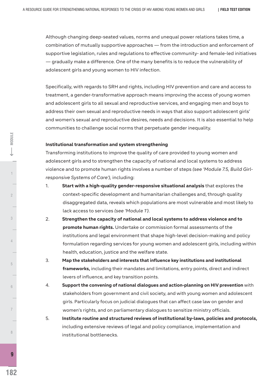Although changing deep-seated values, norms and unequal power relations takes time, a combination of mutually supportive approaches — from the introduction and enforcement of supportive legislation, rules and regulations to effective community- and female-led initiatives — gradually make a difference. One of the many benefits is to reduce the vulnerability of adolescent girls and young women to HIV infection.

Specifically, with regards to SRH and rights, including HIV prevention and care and access to treatment, a gender-transformative approach means improving the access of young women and adolescent girls to all sexual and reproductive services, and engaging men and boys to address their own sexual and reproductive needs in ways that also support adolescent girls' and women's sexual and reproductive desires, needs and decisions. It is also essential to help communities to challenge social norms that perpetuate gender inequality.

#### **Institutional transformation and system strengthening**

Transforming institutions to improve the quality of care provided to young women and adolescent girls and to strengthen the capacity of national and local systems to address violence and to promote human rights involves a number of steps *(see 'Module 7.5, Build Girlresponsive Systems of Care'),* including:

- 1. **Start with a high-quality gender-responsive situational analysis** that explores the context-specific development and humanitarian challenges and, through quality disaggregated data, reveals which populations are most vulnerable and most likely to lack access to services *(see 'Module 1').*
- 2. **Strengthen the capacity of national and local systems to address violence and to promote human rights.** Undertake or commission formal assessments of the institutions and legal environment that shape high-level decision-making and policy formulation regarding services for young women and adolescent girls, including within health, education, justice and the welfare state.
- 3. **Map the stakeholders and interests that influence key institutions and institutional frameworks,** including their mandates and limitations, entry points, direct and indirect levers of influence, and key transition points.
- 4. **Support the convening of national dialogues and action-planning on HIV prevention** with stakeholders from government and civil society, and with young women and adolescent girls. Particularly focus on judicial dialogues that can affect case law on gender and women's rights, and on parliamentary dialogues to sensitize ministry officials.
- 5. **Institute routine and structured reviews of institutional by-laws, policies and protocols,** including extensive reviews of legal and policy compliance, implementation and institutional bottlenecks.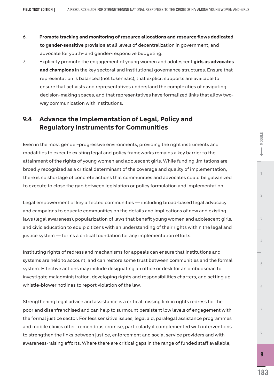- 6. **Promote tracking and monitoring of resource allocations and resource flows dedicated to gender-sensitive provision** at all levels of decentralization in government, and advocate for youth- and gender-responsive budgeting.
- 7. Explicitly promote the engagement of young women and adolescent **girls as advocates and champions** in the key sectoral and institutional governance structures. Ensure that representation is balanced (not tokenistic), that explicit supports are available to ensure that activists and representatives understand the complexities of navigating decision-making spaces, and that representatives have formalized links that allow twoway communication with institutions.

# **9.4 Advance the Implementation of Legal, Policy and Regulatory Instruments for Communities**

Even in the most gender-progressive environments, providing the right instruments and modalities to execute existing legal and policy frameworks remains a key barrier to the attainment of the rights of young women and adolescent girls. While funding limitations are broadly recognized as a critical determinant of the coverage and quality of implementation, there is no shortage of concrete actions that communities and advocates could be galvanized to execute to close the gap between legislation or policy formulation and implementation.

Legal empowerment of key affected communities — including broad-based legal advocacy and campaigns to educate communities on the details and implications of new and existing laws (legal awareness), popularization of laws that benefit young women and adolescent girls, and civic education to equip citizens with an understanding of their rights within the legal and justice system — forms a critical foundation for any implementation efforts.

Instituting rights of redress and mechanisms for appeals can ensure that institutions and systems are held to account, and can restore some trust between communities and the formal system. Effective actions may include designating an office or desk for an ombudsman to investigate maladministration, developing rights and responsibilities charters, and setting up whistle-blower hotlines to report violation of the law.

Strengthening legal advice and assistance is a critical missing link in rights redress for the poor and disenfranchised and can help to surmount persistent low levels of engagement with the formal justice sector. For less sensitive issues, legal aid, paralegal assistance programmes and mobile clinics offer tremendous promise, particularly if complemented with interventions to strengthen the links between justice, enforcement and social service providers and with awareness-raising efforts. Where there are critical gaps in the range of funded staff available,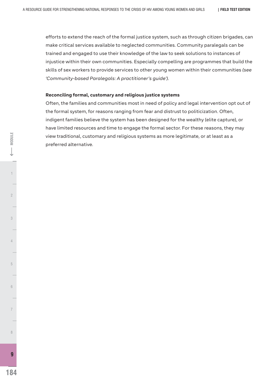efforts to extend the reach of the formal justice system, such as through citizen brigades, can make critical services available to neglected communities. Community paralegals can be trained and engaged to use their knowledge of the law to seek solutions to instances of injustice within their own communities. Especially compelling are programmes that build the skills of sex workers to provide services to other young women within their communities *(see 'Community-based Paralegals: A practitioner's guide').*

#### **Reconciling formal, customary and religious justice systems**

Often, the families and communities most in need of policy and legal intervention opt out of the formal system, for reasons ranging from fear and distrust to politicization. Often, indigent families believe the system has been designed for the wealthy (elite capture), or have limited resources and time to engage the formal sector. For these reasons, they may view traditional, customary and religious systems as more legitimate, or at least as a preferred alternative.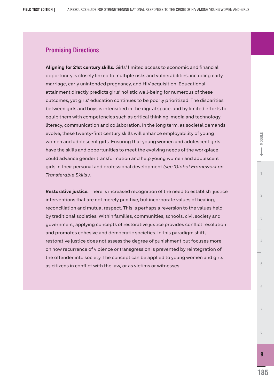# **Promising Directions**

**Aligning for 21st century skills.** Girls' limited access to economic and financial opportunity is closely linked to multiple risks and vulnerabilities, including early marriage, early unintended pregnancy, and HIV acquisition. Educational attainment directly predicts girls' holistic well-being for numerous of these outcomes, yet girls' education continues to be poorly prioritized. The disparities between girls and boys is intensified in the digital space, and by limited efforts to equip them with competencies such as critical thinking, media and technology literacy, communication and collaboration. In the long term, as societal demands evolve, these twenty-first century skills will enhance employability of young women and adolescent girls. Ensuring that young women and adolescent girls have the skills and opportunities to meet the evolving needs of the workplace could advance gender transformation and help young women and adolescent girls in their personal and professional development *(see 'Global Framework on Transferable Skills').*

**Restorative justice.** There is increased recognition of the need to establish justice interventions that are not merely punitive, but incorporate values of healing, reconciliation and mutual respect. This is perhaps a reversion to the values held by traditional societies. Within families, communities, schools, civil society and government, applying concepts of restorative justice provides conflict resolution and promotes cohesive and democratic societies. In this paradigm shift, restorative justice does not assess the degree of punishment but focuses more on how recurrence of violence or transgression is prevented by reintegration of the offender into society. The concept can be applied to young women and girls as citizens in conflict with the law, or as victims or witnesses.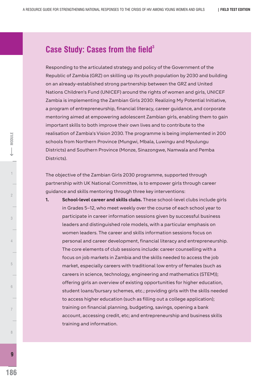# **Case Study: Cases from the field<sup>3</sup>**

Responding to the articulated strategy and policy of the Government of the Republic of Zambia (GRZ) on skilling up its youth population by 2030 and building on an already-established strong partnership between the GRZ and United Nations Children's Fund (UNICEF) around the rights of women and girls, UNICEF Zambia is implementing the Zambian Girls 2030: Realizing My Potential Initiative, a program of entrepreneurship, financial literacy, career guidance, and corporate mentoring aimed at empowering adolescent Zambian girls, enabling them to gain important skills to both improve their own lives and to contribute to the realisation of Zambia's Vision 2030. The programme is being implemented in 200 schools from Northern Province (Mungwi, Mbala, Luwingu and Mpulungu Districts) and Southern Province (Monze, Sinazongwe, Namwala and Pemba Districts).

The objective of the Zambian Girls 2030 programme, supported through partnership with UK National Committee, is to empower girls through career guidance and skills mentoring through three key interventions:

**1. School-level career and skills clubs.** These school-level clubs include girls in Grades 5–12, who meet weekly over the course of each school year to participate in career information sessions given by successful business leaders and distinguished role models, with a particular emphasis on women leaders. The career and skills information sessions focus on personal and career development, financial literacy and entrepreneurship. The core elements of club sessions include: career counselling with a focus on job markets in Zambia and the skills needed to access the job market, especially careers with traditional low entry of females (such as careers in science, technology, engineering and mathematics (STEM)); offering girls an overview of existing opportunities for higher education, student loans/bursary schemes, etc.; providing girls with the skills needed to access higher education (such as filling out a college application); training on financial planning, budgeting, savings, opening a bank account, accessing credit, etc; and entrepreneurship and business skills training and information.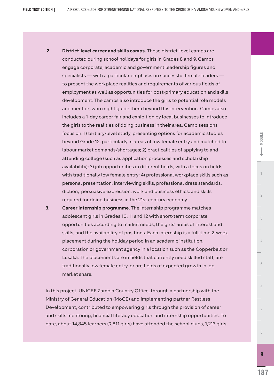**FIELD TEST EDITION |** A RESOURCE GUIDE FOR STRENGTHENING NATIONAL RESPONSES TO THE CRISIS OF HIV AMONG YOUNG WOMEN AND GIRLS

- **2. District-level career and skills camps.** These district-level camps are conducted during school holidays for girls in Grades 8 and 9. Camps engage corporate, academic and government leadership figures and specialists — with a particular emphasis on successful female leaders to present the workplace realities and requirements of various fields of employment as well as opportunities for post-primary education and skills development. The camps also introduce the girls to potential role models and mentors who might guide them beyond this intervention. Camps also includes a 1-day career fair and exhibition by local businesses to introduce the girls to the realities of doing business in their area. Camp sessions focus on: 1) tertiary-level study, presenting options for academic studies beyond Grade 12, particularly in areas of low female entry and matched to labour market demands/shortages; 2) practicalities of applying to and attending college (such as application processes and scholarship availability); 3) job opportunities in different fields, with a focus on fields with traditionally low female entry; 4) professional workplace skills such as personal presentation, interviewing skills, professional dress standards, diction, persuasive expression, work and business ethics, and skills required for doing business in the 21st century economy.
- **3. Career internship programme.** The internship programme matches adolescent girls in Grades 10, 11 and 12 with short-term corporate opportunities according to market needs, the girls' areas of interest and skills, and the availability of positions. Each internship is a full-time 2-week placement during the holiday period in an academic institution, corporation or government agency in a location such as the Copperbelt or Lusaka. The placements are in fields that currently need skilled staff, are traditionally low female entry, or are fields of expected growth in job market share.

In this project, UNICEF Zambia Country Office, through a partnership with the Ministry of General Education (MoGE) and implementing partner Restless Development, contributed to empowering girls through the provision of career and skills mentoring, financial literacy education and internship opportunities. To date, about 14,845 learners (9,811 girls) have attended the school clubs, 1,213 girls - MODULE

**9** 

8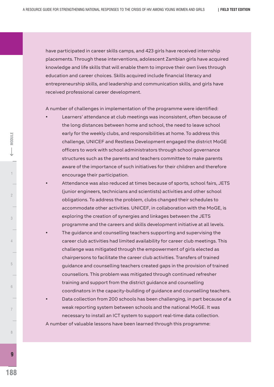have participated in career skills camps, and 423 girls have received internship placements. Through these interventions, adolescent Zambian girls have acquired knowledge and life skills that will enable them to improve their own lives through education and career choices. Skills acquired include financial literacy and entrepreneurship skills, and leadership and communication skills, and girls have received professional career development.

A number of challenges in implementation of the programme were identified:

- Learners' attendance at club meetings was inconsistent, often because of the long distances between home and school, the need to leave school early for the weekly clubs, and responsibilities at home. To address this challenge, UNICEF and Restless Development engaged the district MoGE officers to work with school administrators through school governance structures such as the parents and teachers committee to make parents aware of the importance of such initiatives for their children and therefore encourage their participation.
- Attendance was also reduced at times because of sports, school fairs, JETS (junior engineers, technicians and scientists) activities and other school obligations. To address the problem, clubs changed their schedules to accommodate other activities. UNICEF, in collaboration with the MoGE, is exploring the creation of synergies and linkages between the JETS programme and the careers and skills development initiative at all levels. The guidance and counselling teachers supporting and supervising the career club activities had limited availability for career club meetings. This challenge was mitigated through the empowerment of girls elected as chairpersons to facilitate the career club activities. Transfers of trained guidance and counselling teachers created gaps in the provision of trained counsellors. This problem was mitigated through continued refresher training and support from the district guidance and counselling

coordinators in the capacity-building of guidance and counselling teachers. Data collection from 200 schools has been challenging, in part because of a weak reporting system between schools and the national MoGE. It was necessary to install an ICT system to support real-time data collection.

A number of valuable lessons have been learned through this programme:

4

3

 $\overline{2}$ 

1 2 **MODULE**

**MODULE** 

5

6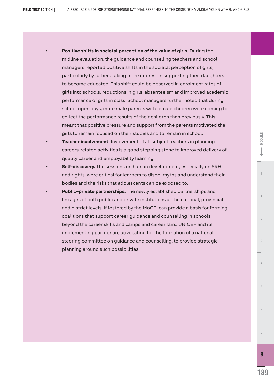- Positive shifts in societal perception of the value of girls. During the midline evaluation, the guidance and counselling teachers and school managers reported positive shifts in the societal perception of girls, particularly by fathers taking more interest in supporting their daughters to become educated. This shift could be observed in enrolment rates of girls into schools, reductions in girls' absenteeism and improved academic performance of girls in class. School managers further noted that during school open days, more male parents with female children were coming to collect the performance results of their children than previously. This meant that positive pressure and support from the parents motivated the girls to remain focused on their studies and to remain in school.
- **Teacher involvement.** Involvement of all subject teachers in planning careers-related activities is a good stepping stone to improved delivery of quality career and employability learning.
- Self-discovery. The sessions on human development, especially on SRH and rights, were critical for learners to dispel myths and understand their bodies and the risks that adolescents can be exposed to.
- Public-private partnerships. The newly established partnerships and linkages of both public and private institutions at the national, provincial and district levels, if fostered by the MoGE, can provide a basis for forming coalitions that support career guidance and counselling in schools beyond the career skills and camps and career fairs. UNICEF and its implementing partner are advocating for the formation of a national steering committee on guidance and counselling, to provide strategic planning around such possibilities.

**9**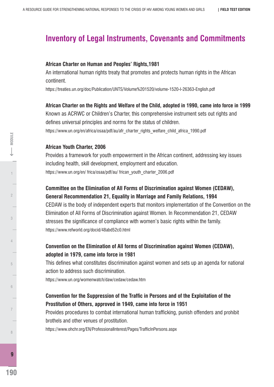# **Inventory of Legal Instruments, Covenants and Commitments**

#### **African Charter on Human and Peoples' Rights,1981**

An international human rights treaty that promotes and protects human rights in the African continent.

https://treaties.un.org/doc/Publication/UNTS/Volume%201520/volume-1520-I-26363-English.pdf

#### **African Charter on the Rights and Welfare of the Child, adopted in 1990, came into force in 1999**

Known as ACRWC or Children's Charter, this comprehensive instrument sets out rights and defines universal principles and norms for the status of children. https://www.un.org/en/africa/osaa/pdf/au/afr\_charter\_rights\_welfare\_child\_africa\_1990.pdf

#### **African Youth Charter, 2006**

Provides a framework for youth empowerment in the African continent, addressing key issues including health, skill development, employment and education. https://www.un.org/en/ frica/osaa/pdf/au/ frican\_youth\_charter\_2006.pdf

### **Committee on the Elimination of All Forms of Discrimination against Women (CEDAW), General Recommendation 21, Equality in Marriage and Family Relations, 1994**

CEDAW is the body of independent experts that monitors implementation of the Convention on the Elimination of All Forms of Discrimination against Women. In Recommendation 21, CEDAW stresses the significance of compliance with women's basic rights within the family. https://www.refworld.org/docid/48abd52c0.html

# **Convention on the Elimination of All forms of Discrimination against Women (CEDAW), adopted in 1979, came into force in 1981**

This defines what constitutes discrimination against women and sets up an agenda for national action to address such discrimination.

https://www.un.org/womenwatch/daw/cedaw/cedaw.htm

# **Convention for the Suppression of the Traffic in Persons and of the Exploitation of the Prostitution of Others, approved in 1949, came into force in 1951**

Provides procedures to combat international human trafficking, punish offenders and prohibit brothels and other venues of prostitution.

https://www.ohchr.org/EN/ProfessionalInterest/Pages/TrafficInPersons.aspx

**MODULE**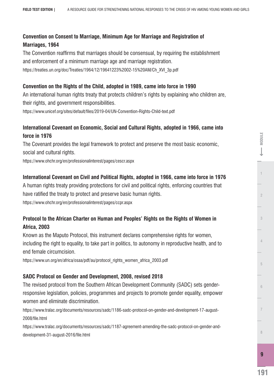# **Convention on Consent to Marriage, Minimum Age for Marriage and Registration of Marriages, 1964**

The Convention reaffirms that marriages should be consensual, by requiring the establishment and enforcement of a minimum marriage age and marriage registration. https://treaties.un.org/doc/Treaties/1964/12/19641223%2002-15%20AM/Ch\_XVI\_3p.pdf

## **Convention on the Rights of the Child, adopted in 1989, came into force in 1990**

An international human rights treaty that protects children's rights by explaining who children are, their rights, and government responsibilities.

https://www.unicef.org/sites/default/files/2019-04/UN-Convention-Rights-Child-text.pdf

# **International Covenant on Economic, Social and Cultural Rights, adopted in 1966, came into force in 1976**

The Covenant provides the legal framework to protect and preserve the most basic economic, social and cultural rights.

https://www.ohchr.org/en/professionalinterest/pages/cescr.aspx

# **International Covenant on Civil and Political Rights, adopted in 1966, came into force in 1976**

A human rights treaty providing protections for civil and political rights, enforcing countries that have ratified the treaty to protect and preserve basic human rights. https://www.ohchr.org/en/professionalinterest/pages/ccpr.aspx

# **Protocol to the African Charter on Human and Peoples' Rights on the Rights of Women in Africa, 2003**

Known as the Maputo Protocol, this instrument declares comprehensive rights for women, including the right to equality, to take part in politics, to autonomy in reproductive health, and to end female circumcision.

https://www.un.org/en/africa/osaa/pdf/au/protocol\_rights\_women\_africa\_2003.pdf

# **SADC Protocol on Gender and Development, 2008, revised 2018**

The revised protocol from the Southern African Development Community (SADC) sets genderresponsive legislation, policies, programmes and projects to promote gender equality, empower women and eliminate discrimination.

https://www.tralac.org/documents/resources/sadc/1186-sadc-protocol-on-gender-and-development-17-august-2008/file.html

https://www.tralac.org/documents/resources/sadc/1187-agreement-amending-the-sadc-protocol-on-gender-anddevelopment-31-august-2016/file.html

**Example**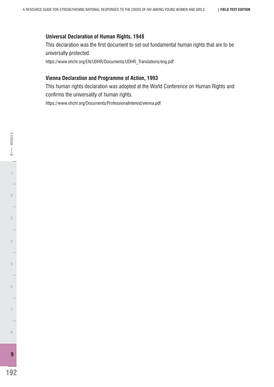#### **Universal Declaration of Human Rights, 1948**

This declaration was the first document to set out fundamental human rights that are to be universally protected.

https://www.ohchr.org/EN/UDHR/Documents/UDHR\_Translations/eng.pdf

#### **Vienna Declaration and Programme of Action, 1993**

This human rights declaration was adopted at the World Conference on Human Rights and confirms the universality of human rights.

https://www.ohchr.org/Documents/ProfessionalInterest/vienna.pdf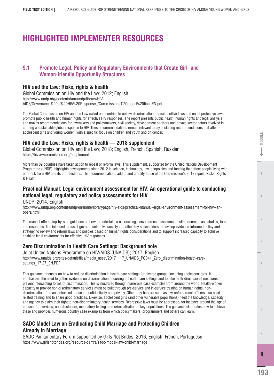# **HIGHLIGHTED IMPLEMENTER RESOURCES**

#### **9.1 Promote Legal, Policy and Regulatory Environments that Create Girl- and Woman-friendly Opportunity Structures**

#### **HIV and the Law: Risks, rights & health**

Global Commission on HIV and the Law; 2012; English http://www.undp.org/content/dam/undp/library/HIV-AIDS/Governance%20of%20HIV%20Responses/Commissions%20report%20final-EN.pdf

The Global Commission on HIV and the Law called on countries to outlaw discrimination, repeal punitive laws and enact protective laws to promote public health and human rights for effective HIV responses. The report presents public health, human rights and legal analysis and makes recommendations for lawmakers and policymakers, civil society, development partners and private sector actors involved in crafting a sustainable global response to HIV. These recommendations remain relevant today, including recommendations that affect adolescent girls and young women, with a specific focus on children and youth and on gender.

#### **HIV and the Law: Risks, rights & health — 2018 supplement**

Global Commission on HIV and the Law; 2018; English, French, Spanish, Russian https://hivlawcommission.org/supplement

More than 89 countries have taken action to repeal or reform laws. This supplement, supported by the United Nations Development Programme (UNDP), highlights developments since 2012 in science, technology, law, geopolitics and funding that affect people living with or at risk from HIV and its co-infections. The recommendations add to and amplify those of the Commission's 2012 report, Risks, Rights & Health.

## **Practical Manual: Legal environment assessment for HIV: An operational guide to conducting national legal, regulatory and policy assessments for HIV**

UNDP; 2014; English

http://www.undp.org/content/undp/en/home/librarypage/hiv-aids/practical-manual--legal-environment-assessment-for-hiv--anopera.html

The manual offers step-by-step guidance on how to undertake a national legal environment assessment, with concrete case studies, tools and resources. It is intended to assist governments, civil society and other key stakeholders to develop evidence-informed policy and strategy, to review and reform laws and policies based on human rights considerations and to support increased capacity to achieve enabling legal environments for effective HIV responses.

#### **Zero Discrimination in Health Care Settings: Background note**

Joint United Nations Programme on HIV/AIDS (UNAIDS); 2017; English http://www.unaids.org/sites/default/files/media\_asset/20171117\_UNAIDS\_PCB41\_Zero\_discrimination-health-caresettings\_17.27\_EN.PDF

This guidance, focuses on how to reduce discrimination in health-care settings for diverse groups, including adolescent girls. It emphasizes the need to gather evidence on discrimination occurring in health-care settings and to take multi-dimensional measures to prevent intersecting forms of discrimination. This is illustrated through numerous case examples from around the world. Health-worker capacity to provide non-discriminatory services must be built through pre-service and in-service training on human rights, nondiscrimination, free and informed consent, confidentiality and privacy. Other duty bearers such as law-enforcement officers also need related training and to share good practices. Likewise, adolescent girls (and other vulnerable populations) need the knowledge, capacity and agency to claim their right to non-discriminatory health services. Repressive laws must be addressed, for instance around the age of consent for services, non-disclosure, mandatory testing, and criminalization of key populations. The guidance elaborates how to achieve these and provides numerous country case examples from which policymakers, programmers and others can learn.

# **SADC Model Law on Eradicating Child Marriage and Protecting Children Already in Marriage**

SADC Parliamentary Forum supported by Girls Not Brides; 2016; English, French, Portuguese https://www.girlsnotbrides.org/resource-centre/sadc-model-law-child-marriage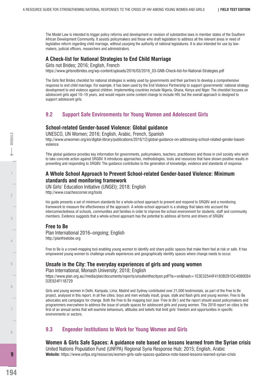The Model Law is intended to trigger policy reforms and development or revision of substantive laws in member states of the Southern African Development Community. It assists policymakers and those who draft legislation to address all the relevant areas in need of legislative reform regarding child marriage, without usurping the authority of national legislatures. It is also intended for use by lawmakers, judicial officers, researchers and administrators.

#### **A Check-list for National Strategies to End Child Marriage**

Girls not Brides; 2016; English, French

https://www.girlsnotbrides.org/wp-content/uploads/2016/03/2016\_03-GNB-Check-list-for-National-Strategies.pdf

The Girls Not Brides checklist for national strategies is widely used by governments and their partners to develop a comprehensive response to end child marriage. For example, it has been used by the End Violence Partnership to support governments' national strategy development to end violence against children. Implementing countries include Nigeria, Ghana, Kenya and Niger. The checklist focuses on adolescent girls aged 10–19 years, and would require some content change to include HIV, but the overall approach is designed to support adolescent girls.

#### **9.2 Support Safe Environments for Young Women and Adolescent Girls**

#### **School-related Gender-based Violence: Global guidance**

UNESCO, UN Women; 2016; English, Arabic, French, Spanish

http://www.unwomen.org/en/digital-library/publications/2016/12/global-guidance-on-addressing-school-related-gender-basedviolence

Tthe global guidance provides key information for governments, policymakers, teachers, practitioners and those in civil society who wish to take concrete action against SRGBV. It introduces approaches, methodologies, tools and resources that have shown positive results in preventing and responding to SRGBV. The guidance contributes to the generation of knowledge, evidence and standards of response.

#### **A Whole School Approach to Prevent School-related Gender-based Violence: Minimum standards and monitoring framework**

UN Girls' Education Initiative (UNGEI); 2018; English http://www.coachescorner.org/tools

his guide presents a set of minimum standards for a whole-school approach to prevent and respond to SRGBV and a monitoring framework to measure the effectiveness of the approach. A whole-school approach is a strategy that takes into account the interconnectedness of schools, communities and families in order to improve the school environment for students, staff and community members. Evidence suggests that a whole-school approach has the potential to address all forms and drivers of SRGBV.

#### **Free to Be**

Plan International 2016–ongoing; English http://planfreetobe.org

Free to Be is a crowd-mapping tool enabling young women to identify and share public spaces that make them feel at risk or safe. It has empowered young women to challenge unsafe experiences and geographically identify spaces where change needs to occur.

#### **Unsafe in the City: The everyday experiences of girls and young women**

Plan International, Monash University; 2018; English https://www.plan.org.au//media/plan/documents/reports/unsafeinthecityen.pdf?la=en&hash=1E3E32544F4183B291DC4080EB4 D2E924F11B729

Girls and young women in Delhi, Kampala, Lima, Madrid and Sydney contributed over 21,000 testimonials, as part of the Free to Be project, analysed in this report. In all five cities, boys and men verbally insult, grope, stalk and flash girls and young women. Free to Be advocates and campaigns for change. Both the Free to Be mapping tool *(see 'Free to Be')* and the report should assist policymakers and programmers everywhere to address the issue of unsafe spaces for adolescent girls and young women. This 2018 report on cities is the first of an annual series that will examine behaviours, attitudes and beliefs that limit girls' freedom and opportunities in specific environments or sectors.

#### **9.3 Engender Institutions to Work for Young Women and Girls**

**Women & Girls Safe Spaces: A guidance note based on lessons learned from the Syrian crisis** United Nations Population Fund (UNFPA) Regional Syria Response Hub; 2015; English, Arabic

**Website:** https://www.unfpa.org/resources/women-girls-safe-spaces-guidance-note-based-lessons-learned-syrian-crisis

**MODULE**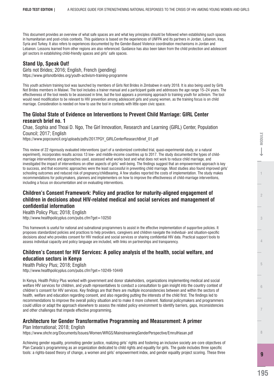This document provides an overview of what safe spaces are and what key principles should be followed when establishing such spaces in humanitarian and post-crisis contexts. This guidance is based on the experiences of UNFPA and its partners in Jordan, Lebanon, Iraq, Syria and Turkey. It also refers to experiences documented by the Gender-Based Violence coordination mechanisms in Jordan and Lebanon. Lessons learned from other regions are also referenced. Guidance has also been taken from the child protection and adolescent girl sectors in establishing child-friendly spaces and girls' safe spaces.

#### **Stand Up, Speak Out!**

Girls not Brides; 2016; English, French (pending) https://www.girlsnotbrides.org/youth-activism-training-programme

This youth activism training tool was launched by members of Girls Not Brides in Zimbabwe in early 2018. It is also being used by Girls Not Brides members in Malawi. The tool includes a trainer manual and a participant guide and addresses the age range 15–24 years. The effectiveness of the tool needs to be assessed in time, but the tool appears a promising approach to training youth for activism. The tool would need modification to be relevant to HIV prevention among adolescent girls and young women, as the training focus is on child marriage. Consideration is needed on how to use the tool in contexts with little open civic space.

#### **The Global State of Evidence on Interventions to Prevent Child Marriage: GIRL Center research brief no. 1**

Chae, Sophia and Thoai D. Ngo, The Girl Innovation, Research and Learning (GIRL) Center, Population Council; 2017; English

https://www.popcouncil.org/uploads/pdfs/2017PGY\_GIRLCenterResearchBrief\_01.pdf

This review of 22 rigorously evaluated interventions (part of a randomized controlled trial, quasi-experimental study, or a natural experiment), incorporates results across 13 low- and middle-income countries up to 2017. The study documented the types of childmarriage interventions and approaches used, assessed what works best and what does not work to reduce child marriage, and investigated the impact of interventions on other aspects of girls' well-being. The findings suggest that an empowerment approach is key to success, and that economic approaches were the least successful in preventing child marriage. Most studies also found improved girls' schooling outcomes and reduced risk of pregnancy/childbearing. A few studies reported the costs of implementation. The study makes recommendations for policymakers, planners and implementers on how to improve the effectiveness of child-marriage interventions, including a focus on documentation and on evaluating interventions.

#### **Children's Consent Framework: Policy and practice for maturity-aligned engagement of children in decisions about HIV-related medical and social services and management of confidential information**

Health Policy Plus; 2018; English http://www.healthpolicyplus.com/pubs.cfm?get=10250

This framework is useful for national and subnational programmers to assist in the effective implementation of supportive policies. It proposes standardized policies and practices to help providers, caregivers and children navigate the individual- and situation-specific decisions about who provides consent for HIV medical and social services or sharing confidential HIV data. Practical support tools to assess individual capacity and policy language are included, with links on partnerships and transparency.

#### **Children's Consent for HIV Services: A policy analysis of the health, social welfare, and education sectors in Kenya**

Health Policy Plus; 2018; English http://www.healthpolicyplus.com/pubs.cfm?get=10249-10449

In Kenya, Health Policy Plus worked with government and donor stakeholders, organizations implementing medical and social welfare HIV services for children, and youth representatives to conduct a consultation to gain insight into the country context of children's consent for HIV services. Key findings are that there are multiple inconsistencies between and within the sectors of health, welfare and education regarding consent, and also regarding putting the interests of the child first. The findings led to recommendations to improve the overall policy situation and to make it more coherent. National policymakers and programmers could utilize or adapt the approach elsewhere to assess the related policy environment to identify barriers, gaps, inconsistencies and other challenges that impede effective programming.

#### **Architecture for Gender Transformative Programming and Measurement: A primer**

Plan International; 2018; English

https://www.ohchr.org/Documents/Issues/Women/WRGS/MainstreamingGenderPerspective/EmrulHasan.pdf

Achieving gender equality, promoting gender justice, realizing girls' rights and fostering an inclusive society are core objectives of Plan Canada's programming as an organization dedicated to child rights and equality for girls. The guide includes three specific tools: a rights-based theory of change, a women and girls' empowerment index, and gender equality project scoring. These three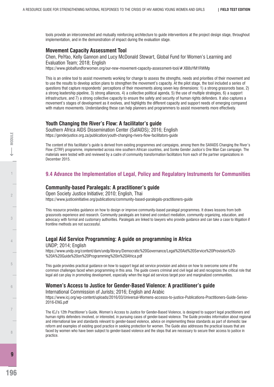tools provide an interconnected and mutually reinforcing architecture to guide interventions at the project design stage, throughout implementation, and in the demonstration of impact during the evaluation stage.

#### **Movement Capacity Assessment Tool**

Chen, PeiYao, Kelly Gannon and Lucy McDonald Stewart, Global Fund for Women's Learning and Evaluation Team; 2018; English https://www.globalfundforwomen.org/our-new-movement-capacity-assessment-tool/#.XB8sYM1RWMp

This is an online tool to assist movements working for change to assess the strengths, needs and priorities of their movement and to use the results to develop action plans to strengthen the movement's capacity. At the pilot stage, the tool included a series of questions that capture respondents' perceptions of their movements along seven key dimensions: 1) a strong grassroots base, 2) a strong leadership pipeline, 3) strong alliances, 4) a collective political agenda, 5) the use of multiple strategies, 6) a support infrastructure, and 7) a strong collective capacity to ensure the safety and security of human rights defenders. It also captures a movement's stages of development as it evolves, and highlights the different capacity and support needs of emerging compared with mature movements. Understanding these can help planners and programmers to assist movements more effectively.

#### **Youth Changing the River's Flow: A facilitator's guide**

Southern Africa AIDS Dissemination Center (SafAIDS); 2016; English https://genderjustice.org.za/publication/youth-changing-rivers-flow-facilitators-guide

The content of this facilitator's guide is derived from existing programmes and campaigns, among them the SAfAIDS Changing the River's Flow (CTRF) programme, implemented across nine southern African countries, and Sonke Gender Justice's One Man Can campaign. The materials were tested with and reviewed by a cadre of community transformation facilitators from each of the partner organizations in December 2015.

#### **9.4 Advance the Implementation of Legal, Policy and Regulatory Instruments for Communities**

#### **Community-based Paralegals: A practitioner's guide**

Open Society Justice Initiative; 2010; English, Thai https://www.justiceinitiative.org/publications/community-based-paralegals-practitioners-guide

This resource provides guidance on how to design or improve community-based paralegal programmes. It draws lessons from both grassroots experience and research. Community paralegals are trained and conduct mediation, community organizing, education, and advocacy with formal and customary authorities. Paralegals are linked to lawyers who provide guidance and can take a case to litigation if frontline methods are not successful.

#### **Legal Aid Service Programming: A guide on programming in Africa**

UNDP; 2014; English

https://www.undp.org/content/dam/undp/library/Democratic%20Governance/Legal%20Aid%20Service%20Provision%20- %20A%20Guide%20on%20Programming%20in%20Africa.pdf

This guide provides practical guidance on how to support legal aid service provision and advice on how to overcome some of the common challenges faced when programming in this area. The guide covers criminal and civil legal aid and recognizes the critical role that legal aid can play in promoting development, especially when the legal aid services target poor and marginalized communities.

#### **Women's Access to Justice for Gender-Based Violence: A practitioner's guide**

International Commission of Jurists; 2016; English and Arabic https://www.icj.org/wp-content/uploads/2016/03/Universal-Womens-accesss-to-justice-Publications-Practitioners-Guide-Series-2016-ENG.pdf

The ICJ's 12th Practitioner's Guide, Women's Access to Justice for Gender-Based Violence, is designed to support legal practitioners and human rights defenders involved, or interested, in pursuing cases of gender-based violence. The Guide provides information about regional and international law and standards relevant to gender-based violence, advice on implementing these standards as part of domestic law reform and examples of existing good practice in seeking protection for women. The Guide also addresses the practical issues that are faced by women who have been subject to gender-based violence and the steps that are necessary to secure their access to justice in practice.

7

4

1 2 **MODULE**

 $\overline{c}$ 

**MODULE**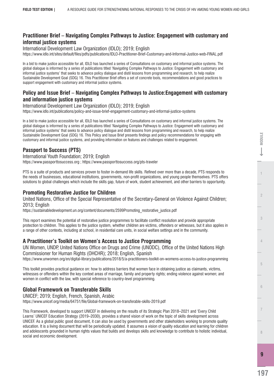#### **Practitioner Brief – Navigating Complex Pathways to Justice: Engagement with customary and informal justice systems**

International Development Law Organization (IDLO); 2019; English https://www.idlo.int/sites/default/les/pdfs/publications/IDLO-Practitioner-Brief-Customary-and-Informal-Justice-web-FINAL.pdf

In a bid to make justice accessible for all, IDLO has launched a series of Consultations on customary and informal justice systems. The global dialogue is informed by a series of publications titled 'Navigating Complex Pathways to Justice: Engagement with customary and informal justice systems' that seeks to advance policy dialogue and distil lessons from programming and research, to help realize Sustainable Development Goal (SDG) 16. This Practitioner Brief offers a set of concrete tools, recommendations and good practices to support engagement with customary and informal justice systems.

#### **Policy and Issue Brief – Navigating Complex Pathways to Justice:Engagement with customary and information justice systems**

International Development Law Organization (IDLO); 2019; English https://www.idlo.int/publications/policy-and-issue-brief-engagement-customary-and-informal-justice-systems

In a bid to make justice accessible for all, IDLO has launched a series of Consultations on customary and informal justice systems. The global dialogue is informed by a series of publications titled 'Navigating Complex Pathways to Justice: Engagement with customary and informal justice systems' that seeks to advance policy dialogue and distil lessons from programming and research, to help realize Sustainable Development Goal (SDG) 16. This Policy and Issue Brief presents findings and policy recommendations for engaging with customary and informal justice systems, and providing information on features and challenges related to engagement.

#### **Passport to Success (PTS)**

International Youth Foundation; 2019; English https://www.passporttosuccess.org ; https://www.passporttosuccess.org/pts-traveler

PTS is a suite of products and services proven to foster in-demand life skills. Refined over more than a decade, PTS responds to the needs of businesses, educational institutions, governments, non-profit organizations, and young people themselves. PTS offers solutions to global challenges which include the skills gap, future of work, student achievement, and other barriers to opportunity.

#### **Promoting Restorative Justice for Children**

United Nations, Office of the Special Representative of the Secretary-General on Violence Against Children; 2013; English

https://sustainabledevelopment.un.org/content/documents/2599Promoting\_restorative\_justice.pdf

This report examines the potential of restorative justice programmes to facilitate conflict resolution and provide appropriate protection to children. This applies to the justice system, whether children are victims, offenders or witnesses, but it also applies in a range of other contexts, including at school, in residential care units, in social welfare settings and in the community.

#### **A Practitioner's Toolkit on Women's Access to Justice Programming**

UN Women, UNDP, United Nations Office on Drugs and Crime (UNODC), Office of the United Nations High Commissioner for Human Rights (OHCHR); 2018; English, Spanish https://www.unwomen.org/en/digital-library/publications/2018/5/a-practitioners-toolkit-on-womens-access-to-justice-programming

This toolkit provides practical guidance on: how to address barriers that women face in obtaining justice as claimants, victims, witnesses or offenders within the key context areas of marriage, family and property rights; ending violence against women; and women in conflict with the law, with special reference to country-level programming.

#### **Global Framework on Transferable Skills**

UNICEF; 2019; English, French, Spanish, Arabic https://www.unicef.org/media/64751/file/Global-framework-on-transferable-skills-2019.pdf

This Framework, developed to support UNICEF in delivering on the results of its Strategic Plan 2018–2021 and 'Every Child Learns' UNICEF Education Strategy (2019–2030), provides a shared vision of work on the topic of skills development across UNICEF. As a global public good document, it can also be used by governments and other stakeholders working to promote quality education. It is a living document that will be periodically updated. It assumes a vision of quality education and learning for children and adolescents grounded in human rights values that builds and develops skills and knowledge to contribute to holistic individual. social and economic development.

8

4

3

1 **2** MODE  $\begin{bmatrix} 1 & 2 \\ 2 & 1 \end{bmatrix}$  2

 $\overline{2}$ 

 $-$  MODULE

5

6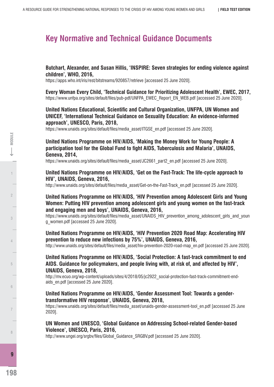# **Key Normative and Technical Guidance Documents**

**Butchart, Alexander, and Susan Hillis, 'INSPIRE: Seven strategies for ending violence against children', WHO, 2016,**

https://apps.who.int/iris/rest/bitstreams/920857/retrieve [accessed 25 June 2020].

**Every Woman Every Child, 'Technical Guidance for Prioritizing Adolescent Health', EWEC, 2017,** https://www.unfpa.org/sites/default/files/pub-pdf/UNFPA\_EWEC\_Report\_EN\_WEB.pdf [accessed 25 June 2020].

**United Nations Educational, Scientific and Cultural Organization, UNFPA, UN Women and UNICEF, 'International Technical Guidance on Sexuality Education: An evidence-informed approach', UNESCO, Paris, 2018,**

https://www.unaids.org/sites/default/files/media\_asset/ITGSE\_en.pdf [accessed 25 June 2020].

**United Nations Programme on HIV/AIDS, 'Making the Money Work for Young People: A**  participation tool for the Global Fund to fight AIDS, Tuberculosis and Malaria', UNAIDS, **Geneva, 2014,** 

https://www.unaids.org/sites/default/files/media\_asset/JC2661\_part2\_en.pdf [accessed 25 June 2020].

#### **United Nations Programme on HIV/AIDS, 'Get on the Fast-Track: The life-cycle approach to HIV', UNAIDS, Geneva, 2016,**

http://www.unaids.org/sites/default/files/media\_asset/Get-on-the-Fast-Track\_en.pdf [accessed 25 June 2020].

**United Nations Programme on HIV/AIDS, 'HIV Prevention among Adolescent Girls and Young Women: Putting HIV prevention among adolescent girls and young women on the fast-track and engaging men and boys', UNAIDS, Geneva, 2016,** 

https://www.unaids.org/sites/default/files/media\_asset/UNAIDS\_HIV\_prevention\_among\_adolescent\_girls\_and\_youn g\_women.pdf [accessed 25 June 2020].

#### **United Nations Programme on HIV/AIDS, 'HIV Prevention 2020 Road Map: Accelerating HIV prevention to reduce new infections by 75%', UNAIDS, Geneva, 2016,**

http://www.unaids.org/sites/default/files/media\_asset/hiv-prevention-2020-road-map\_en.pdf [accessed 25 June 2020].

**United Nations Programme on HIV/AIDS, 'Social Protection: A fast-track commitment to end AIDS. Guidance for policymakers, and people living with, at risk of, and affected by HIV', UNAIDS, Geneva, 2018,**

http://mv.ecuo.org/wp-content/uploads/sites/4/2018/05/jc2922\_social-protection-fast-track-commitment-endaids\_en.pdf [accessed 25 June 2020].

#### **United Nations Programme on HIV/AIDS, 'Gender Assessment Tool: Towards a gendertransformative HIV response', UNAIDS, Geneva, 2018,**

https://www.unaids.org/sites/default/files/media\_asset/unaids-gender-assessment-tool\_en.pdf [accessed 25 June 2020].

#### **UN Women and UNESCO, 'Global Guidance on Addressing School-related Gender-based Violence', UNESCO, Paris, 2016,**

http://www.ungei.org/srgbv/files/Global Guidance SRGBV.pdf [accessed 25 June 2020].

**MODULE**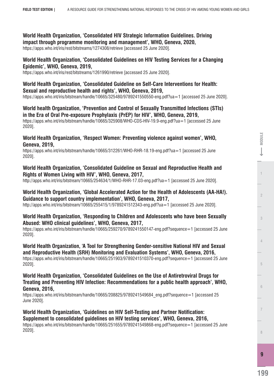# **World Health Organization, 'Consolidated HIV Strategic Information Guidelines. Driving impact through programme monitoring and management', WHO, Geneva, 2020,**

https://apps.who.int/iris/rest/bitstreams/1274308/retrieve [accessed 25 June 2020].

#### **World Health Organization, 'Consolidated Guidelines on HIV Testing Services for a Changing Epidemic', WHO, Geneva, 2019,**

https://apps.who.int/iris/rest/bitstreams/1261990/retrieve [accessed 25 June 2020].

#### **World Health Organization, 'Consolidated Guideline on Self-Care Interventions for Health: Sexual and reproductive health and rights', WHO, Geneva, 2019,**

https://apps.who.int/iris/bitstream/handle/10665/325480/9789241550550-eng.pdf?ua=1 [accessed 25 June 2020].

#### **World health Organization, 'Prevention and Control of Sexually Transmitted Infections (STIs) in the Era of Oral Pre-exposure Prophylaxis (PrEP) for HIV', WHO, Geneva, 2019,**

https://apps.who.int/iris/bitstream/handle/10665/325908/WHO-CDS-HIV-19.9-eng.pdf?ua=1 [accessed 25 June 2020].

#### **World Health Organization, 'Respect Women: Preventing violence against women', WHO, Geneva, 2019,**

https://apps.who.int/iris/bitstream/handle/10665/312261/WHO-RHR-18.19-eng.pdf?ua=1 [accessed 25 June 2020].

#### **World Health Organization, 'Consolidated Guideline on Sexual and Reproductive Health and Rights of Women Living with HIV', WHO, Geneva, 2017,**

http://apps.who.int/iris/bitstream/10665/254634/1/WHO-RHR-17.03-eng.pdf?ua=1 [accessed 25 June 2020].

## **World Health Organization, 'Global Accelerated Action for the Health of Adolescents (AA-HA!). Guidance to support country implementation', WHO, Geneva, 2017,**

http://apps.who.int/iris/bitstream/10665/255415/1/9789241512343-eng.pdf?ua=1 [accessed 25 June 2020].

#### **World Health Organization, 'Responding to Children and Adolescents who have been Sexually Abused: WHO clinical guidelines', WHO, Geneva, 2017,**

https://apps.who.int/iris/bitstream/handle/10665/259270/9789241550147-eng.pdf?sequence=1 [accessed 25 June 2020].

#### **World Health Organization, 'A Tool for Strengthening Gender-sensitive National HIV and Sexual and Reproductive Health (SRH) Monitoring and Evaluation Systems', WHO, Geneva, 2016,**  https://apps.who.int/iris/bitstream/handle/10665/251903/9789241510370-eng.pdf?sequence=1 [accessed 25 June 2020].

#### **World Health Organization, 'Consolidated Guidelines on the Use of Antiretroviral Drugs for Treating and Preventing HIV Infection: Recommendations for a public health approach', WHO, Geneva, 2016,**

https://apps.who.int/iris/bitstream/handle/10665/208825/9789241549684\_eng.pdf?sequence=1 [accessed 25 June 2020].

#### **World Health Organization, 'Guidelines on HIV Self-Testing and Partner Notication: Supplement to consolidated guidelines on HIV testing services', WHO, Geneva, 2016,**

https://apps.who.int/iris/bitstream/handle/10665/251655/9789241549868-eng.pdf?sequence=1 [accessed 25 June 2020].

**9**